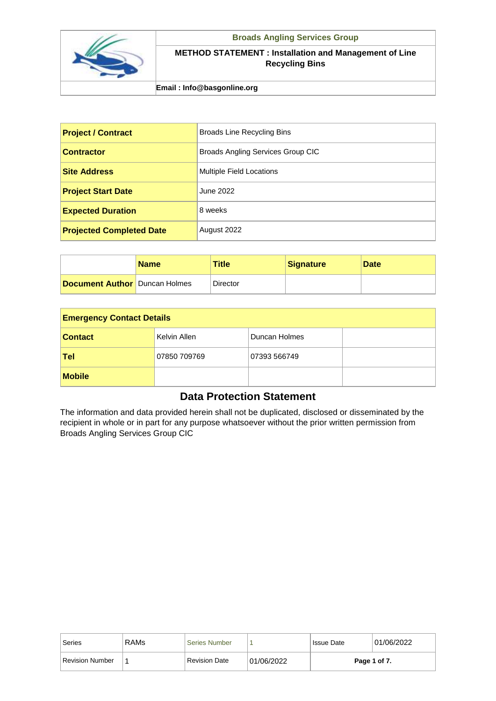

## **Broads Angling Services Group**

## **METHOD STATEMENT : Installation and Management of Line Recycling Bins**

## **Email : Info@basgonline.org**

| <b>Project / Contract</b>       | <b>Broads Line Recycling Bins</b>        |
|---------------------------------|------------------------------------------|
| <b>Contractor</b>               | <b>Broads Angling Services Group CIC</b> |
| <b>Site Address</b>             | <b>Multiple Field Locations</b>          |
| <b>Project Start Date</b>       | June 2022                                |
| <b>Expected Duration</b>        | 8 weeks                                  |
| <b>Projected Completed Date</b> | August 2022                              |

|                                      | <b>Name</b> | <b>Title</b> | <b>Signature</b> | <b>Date</b> |
|--------------------------------------|-------------|--------------|------------------|-------------|
| <b>Document Author Duncan Holmes</b> |             | Director     |                  |             |

| <b>Emergency Contact Details</b> |              |               |  |  |
|----------------------------------|--------------|---------------|--|--|
| <b>Contact</b>                   | Kelvin Allen | Duncan Holmes |  |  |
| Tel                              | 07850 709769 | 07393 566749  |  |  |
| <b>Mobile</b>                    |              |               |  |  |

## **Data Protection Statement**

The information and data provided herein shall not be duplicated, disclosed or disseminated by the recipient in whole or in part for any purpose whatsoever without the prior written permission from Broads Angling Services Group CIC

| Series          | <b>RAMs</b> | <b>Series Number</b> |            | <b>Issue Date</b> | 01/06/2022   |
|-----------------|-------------|----------------------|------------|-------------------|--------------|
| Revision Number |             | <b>Revision Date</b> | 01/06/2022 |                   | Page 1 of 7. |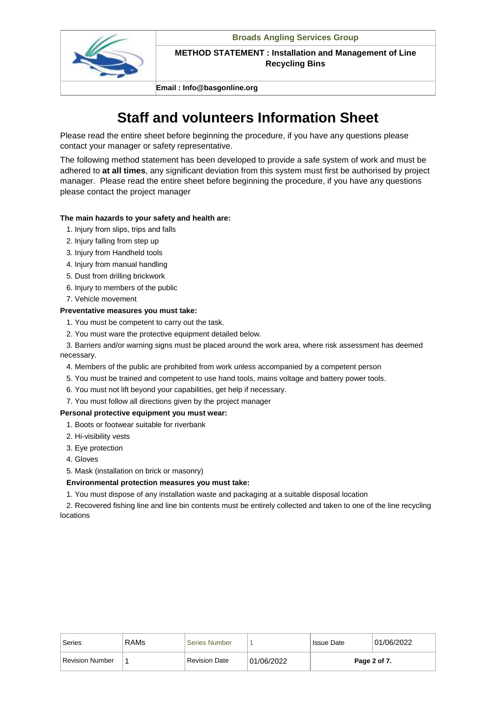

**Email : Info@basgonline.org**

## **Staff and volunteers Information Sheet**

Please read the entire sheet before beginning the procedure, if you have any questions please contact your manager or safety representative.

The following method statement has been developed to provide a safe system of work and must be adhered to **at all times**, any significant deviation from this system must first be authorised by project manager. Please read the entire sheet before beginning the procedure, if you have any questions please contact the project manager

## **The main hazards to your safety and health are:**

- 1. Injury from slips, trips and falls
- 2. Injury falling from step up
- 3. Injury from Handheld tools
- 4. Injury from manual handling
- 5. Dust from drilling brickwork
- 6. Injury to members of the public
- 7. Vehicle movement

## **Preventative measures you must take:**

- 1. You must be competent to carry out the task.
- 2. You must ware the protective equipment detailed below.

 3. Barriers and/or warning signs must be placed around the work area, where risk assessment has deemed necessary.

- 4. Members of the public are prohibited from work unless accompanied by a competent person
- 5. You must be trained and competent to use hand tools, mains voltage and battery power tools.
- 6. You must not lift beyond your capabilities, get help if necessary.
- 7. You must follow all directions given by the project manager

## **Personal protective equipment you must wear:**

- 1. Boots or footwear suitable for riverbank
- 2. Hi-visibility vests
- 3. Eye protection
- 4. Gloves

5. Mask (installation on brick or masonry)

## **Environmental protection measures you must take:**

1. You must dispose of any installation waste and packaging at a suitable disposal location

 2. Recovered fishing line and line bin contents must be entirely collected and taken to one of the line recycling locations

| Series                 | <b>RAMs</b> | Series Number        |            | <b>Issue Date</b> | 01/06/2022   |
|------------------------|-------------|----------------------|------------|-------------------|--------------|
| <b>Revision Number</b> |             | <b>Revision Date</b> | 01/06/2022 |                   | Page 2 of 7. |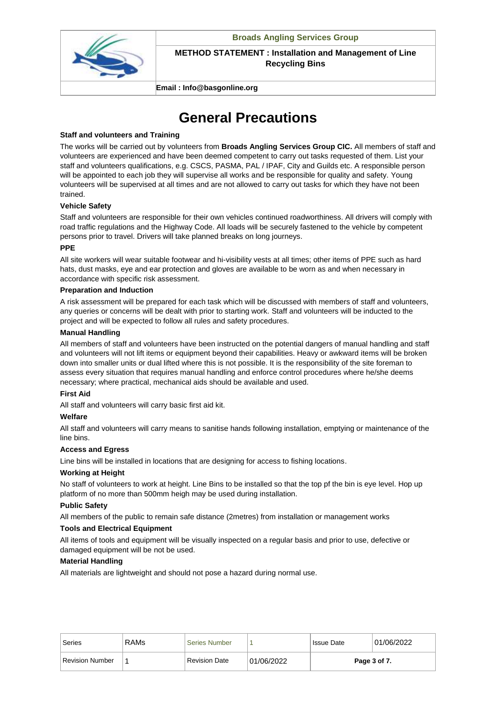

**Email : Info@basgonline.org**

## **General Precautions**

## **Staff and volunteers and Training**

The works will be carried out by volunteers from **Broads Angling Services Group CIC.** All members of staff and volunteers are experienced and have been deemed competent to carry out tasks requested of them. List your staff and volunteers qualifications, e.g. CSCS, PASMA, PAL / IPAF, City and Guilds etc. A responsible person will be appointed to each job they will supervise all works and be responsible for quality and safety. Young volunteers will be supervised at all times and are not allowed to carry out tasks for which they have not been trained.

## **Vehicle Safety**

Staff and volunteers are responsible for their own vehicles continued roadworthiness. All drivers will comply with road traffic regulations and the Highway Code. All loads will be securely fastened to the vehicle by competent persons prior to travel. Drivers will take planned breaks on long journeys.

## **PPE**

All site workers will wear suitable footwear and hi-visibility vests at all times; other items of PPE such as hard hats, dust masks, eye and ear protection and gloves are available to be worn as and when necessary in accordance with specific risk assessment.

## **Preparation and Induction**

A risk assessment will be prepared for each task which will be discussed with members of staff and volunteers, any queries or concerns will be dealt with prior to starting work. Staff and volunteers will be inducted to the project and will be expected to follow all rules and safety procedures.

## **Manual Handling**

All members of staff and volunteers have been instructed on the potential dangers of manual handling and staff and volunteers will not lift items or equipment beyond their capabilities. Heavy or awkward items will be broken down into smaller units or dual lifted where this is not possible. It is the responsibility of the site foreman to assess every situation that requires manual handling and enforce control procedures where he/she deems necessary; where practical, mechanical aids should be available and used.

## **First Aid**

All staff and volunteers will carry basic first aid kit.

## **Welfare**

All staff and volunteers will carry means to sanitise hands following installation, emptying or maintenance of the line bins.

## **Access and Egress**

Line bins will be installed in locations that are designing for access to fishing locations.

## **Working at Height**

No staff of volunteers to work at height. Line Bins to be installed so that the top pf the bin is eye level. Hop up platform of no more than 500mm heigh may be used during installation.

## **Public Safety**

All members of the public to remain safe distance (2metres) from installation or management works

## **Tools and Electrical Equipment**

All items of tools and equipment will be visually inspected on a regular basis and prior to use, defective or damaged equipment will be not be used.

## **Material Handling**

All materials are lightweight and should not pose a hazard during normal use.

| Series                 | <b>RAMs</b> | Series Number        |            | <b>Issue Date</b> | 01/06/2022   |
|------------------------|-------------|----------------------|------------|-------------------|--------------|
| <b>Revision Number</b> |             | <b>Revision Date</b> | 01/06/2022 |                   | Page 3 of 7. |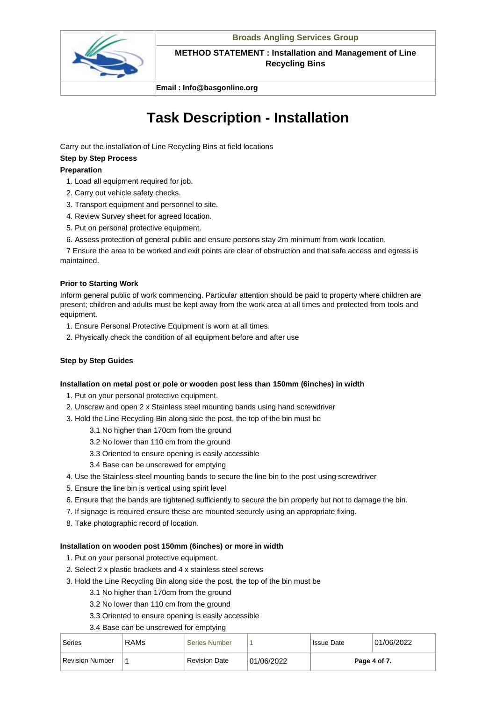

**Email : Info@basgonline.org**

# **Task Description - Installation**

Carry out the installation of Line Recycling Bins at field locations

## **Step by Step Process**

## **Preparation**

- 1. Load all equipment required for job.
- 2. Carry out vehicle safety checks.
- 3. Transport equipment and personnel to site.
- 4. Review Survey sheet for agreed location.
- 5. Put on personal protective equipment.
- 6. Assess protection of general public and ensure persons stay 2m minimum from work location.

 7 Ensure the area to be worked and exit points are clear of obstruction and that safe access and egress is maintained.

## **Prior to Starting Work**

Inform general public of work commencing. Particular attention should be paid to property where children are present; children and adults must be kept away from the work area at all times and protected from tools and equipment.

- 1. Ensure Personal Protective Equipment is worn at all times.
- 2. Physically check the condition of all equipment before and after use

## **Step by Step Guides**

## **Installation on metal post or pole or wooden post less than 150mm (6inches) in width**

- 1. Put on your personal protective equipment.
- 2. Unscrew and open 2 x Stainless steel mounting bands using hand screwdriver
- 3. Hold the Line Recycling Bin along side the post, the top of the bin must be
	- 3.1 No higher than 170cm from the ground
	- 3.2 No lower than 110 cm from the ground
	- 3.3 Oriented to ensure opening is easily accessible
	- 3.4 Base can be unscrewed for emptying
- 4. Use the Stainless-steel mounting bands to secure the line bin to the post using screwdriver
- 5. Ensure the line bin is vertical using spirit level
- 6. Ensure that the bands are tightened sufficiently to secure the bin properly but not to damage the bin.
- 7. If signage is required ensure these are mounted securely using an appropriate fixing.
- 8. Take photographic record of location.

## **Installation on wooden post 150mm (6inches) or more in width**

- 1. Put on your personal protective equipment.
- 2. Select 2 x plastic brackets and 4 x stainless steel screws
- 3. Hold the Line Recycling Bin along side the post, the top of the bin must be
	- 3.1 No higher than 170cm from the ground
	- 3.2 No lower than 110 cm from the ground
	- 3.3 Oriented to ensure opening is easily accessible
	- 3.4 Base can be unscrewed for emptying

| Series                 | <b>RAMs</b> | <b>Series Number</b> |            | <sup>1</sup> Issue Date | 01/06/2022   |
|------------------------|-------------|----------------------|------------|-------------------------|--------------|
| <b>Revision Number</b> |             | <b>Revision Date</b> | 01/06/2022 |                         | Page 4 of 7. |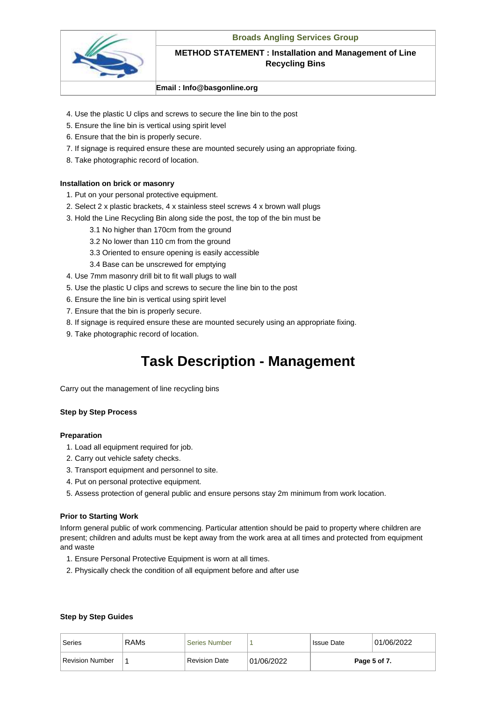

#### **Email : Info@basgonline.org**

- 4. Use the plastic U clips and screws to secure the line bin to the post
- 5. Ensure the line bin is vertical using spirit level
- 6. Ensure that the bin is properly secure.
- 7. If signage is required ensure these are mounted securely using an appropriate fixing.
- 8. Take photographic record of location.

#### **Installation on brick or masonry**

- 1. Put on your personal protective equipment.
- 2. Select 2 x plastic brackets, 4 x stainless steel screws 4 x brown wall plugs
- 3. Hold the Line Recycling Bin along side the post, the top of the bin must be
	- 3.1 No higher than 170cm from the ground
	- 3.2 No lower than 110 cm from the ground
	- 3.3 Oriented to ensure opening is easily accessible
	- 3.4 Base can be unscrewed for emptying
- 4. Use 7mm masonry drill bit to fit wall plugs to wall
- 5. Use the plastic U clips and screws to secure the line bin to the post
- 6. Ensure the line bin is vertical using spirit level
- 7. Ensure that the bin is properly secure.
- 8. If signage is required ensure these are mounted securely using an appropriate fixing.
- 9. Take photographic record of location.

## **Task Description - Management**

Carry out the management of line recycling bins

#### **Step by Step Process**

#### **Preparation**

- 1. Load all equipment required for job.
- 2. Carry out vehicle safety checks.
- 3. Transport equipment and personnel to site.
- 4. Put on personal protective equipment.
- 5. Assess protection of general public and ensure persons stay 2m minimum from work location.

#### **Prior to Starting Work**

Inform general public of work commencing. Particular attention should be paid to property where children are present; children and adults must be kept away from the work area at all times and protected from equipment and waste

- 1. Ensure Personal Protective Equipment is worn at all times.
- 2. Physically check the condition of all equipment before and after use

#### **Step by Step Guides**

| Series          | <b>RAMs</b> | Series Number        |            | <b>Issue Date</b> | 01/06/2022   |
|-----------------|-------------|----------------------|------------|-------------------|--------------|
| Revision Number |             | <b>Revision Date</b> | 01/06/2022 |                   | Page 5 of 7. |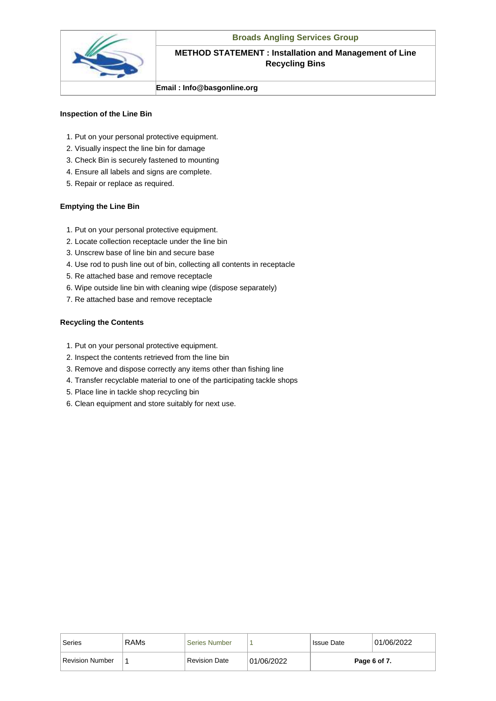

#### **Email : Info@basgonline.org**

#### **Inspection of the Line Bin**

- 1. Put on your personal protective equipment.
- 2. Visually inspect the line bin for damage
- 3. Check Bin is securely fastened to mounting
- 4. Ensure all labels and signs are complete.
- 5. Repair or replace as required.

#### **Emptying the Line Bin**

- 1. Put on your personal protective equipment.
- 2. Locate collection receptacle under the line bin
- 3. Unscrew base of line bin and secure base
- 4. Use rod to push line out of bin, collecting all contents in receptacle
- 5. Re attached base and remove receptacle
- 6. Wipe outside line bin with cleaning wipe (dispose separately)
- 7. Re attached base and remove receptacle

#### **Recycling the Contents**

- 1. Put on your personal protective equipment.
- 2. Inspect the contents retrieved from the line bin
- 3. Remove and dispose correctly any items other than fishing line
- 4. Transfer recyclable material to one of the participating tackle shops
- 5. Place line in tackle shop recycling bin
- 6. Clean equipment and store suitably for next use.

| Series                 | <b>RAMs</b> | <b>Series Number</b> |            | <b>Issue Date</b> | 01/06/2022   |
|------------------------|-------------|----------------------|------------|-------------------|--------------|
| <b>Revision Number</b> |             | Revision Date        | 01/06/2022 |                   | Page 6 of 7. |